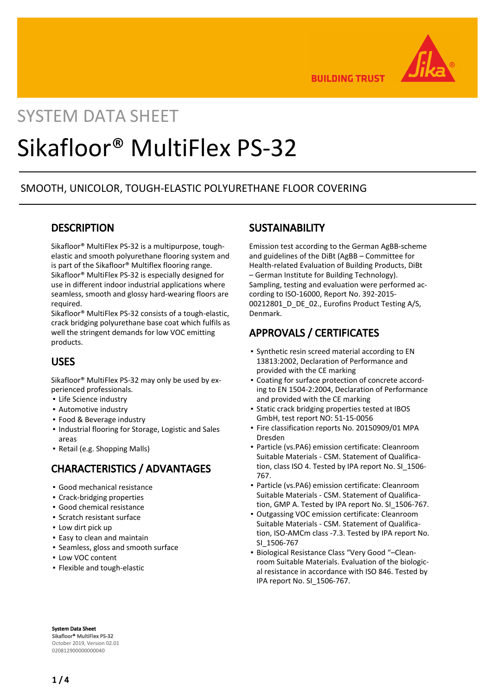

**BUILDING TRUST** 

## SYSTEM DATA SHEET

# Sikafloor® MultiFlex PS-32

#### SMOOTH, UNICOLOR, TOUGH-ELASTIC POLYURETHANE FLOOR COVERING

#### **DESCRIPTION**

Sikafloor® MultiFlex PS-32 is a multipurpose, toughelastic and smooth polyurethane flooring system and is part of the Sikafloor® Multiflex flooring range. Sikafloor® MultiFlex PS-32 is especially designed for use in different indoor industrial applications where seamless, smooth and glossy hard-wearing floors are required.

Sikafloor® MultiFlex PS-32 consists of a tough-elastic, crack bridging polyurethane base coat which fulfils as well the stringent demands for low VOC emitting products.

#### USES

Sikafloor® MultiFlex PS-32 may only be used by experienced professionals.

- Life Science industry
- Automotive industry
- Food & Beverage industry
- **.** Industrial flooring for Storage, Logistic and Sales areas
- Retail (e.g. Shopping Malls)

### CHARACTERISTICS / ADVANTAGES

- Good mechanical resistance
- Crack-bridging properties
- Good chemical resistance
- Scratch resistant surface
- **.** Low dirt pick up
- **Easy to clean and maintain**
- Seamless, gloss and smooth surface
- Low VOC content
- Flexible and tough-elastic

#### **SUSTAINABILITY**

Emission test according to the German AgBB-scheme and guidelines of the DiBt (AgBB – Committee for Health-related Evaluation of Building Products, DiBt – German Institute for Building Technology). Sampling, testing and evaluation were performed according to ISO-16000, Report No. 392-2015- 00212801 D DE 02., Eurofins Product Testing A/S, Denmark.

#### APPROVALS / CERTIFICATES

- **·** Synthetic resin screed material according to EN 13813:2002, Declaration of Performance and provided with the CE marking
- Coating for surface protection of concrete accord-▪ ing to EN 1504-2:2004, Declaration of Performance and provided with the CE marking
- **·** Static crack bridging properties tested at IBOS GmbH, test report NO: 51-15-0056
- **Fire classification reports No. 20150909/01 MPA** Dresden
- Particle (vs.PA6) emission certificate: Cleanroom Suitable Materials - CSM. Statement of Qualification, class ISO 4. Tested by IPA report No. SI\_1506- 767.
- Particle (vs.PA6) emission certificate: Cleanroom Suitable Materials - CSM. Statement of Qualification, GMP A. Tested by IPA report No. SI\_1506-767.
- **Outgassing VOC emission certificate: Cleanroom** Suitable Materials - CSM. Statement of Qualification, ISO-AMCm class -7.3. Tested by IPA report No. SI\_1506-767
- **Biological Resistance Class "Very Good "-Clean**room Suitable Materials. Evaluation of the biological resistance in accordance with ISO 846. Tested by IPA report No. SI\_1506-767.

System Data Sheet Sikafloor® MultiFlex PS-32 October 2019, Version 02.01 020812900000000040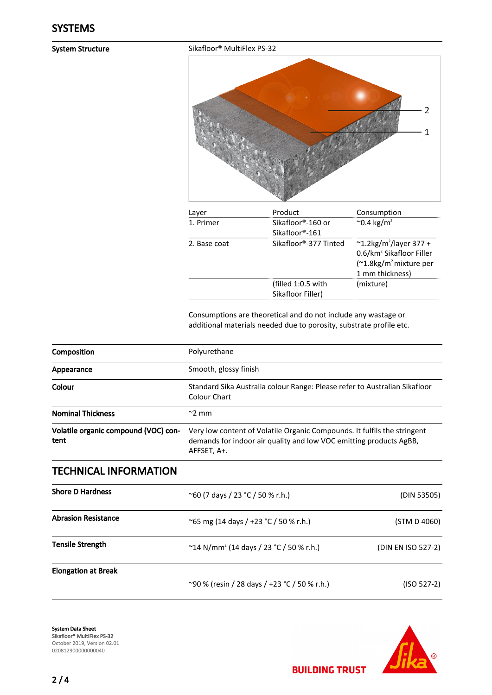



| Layer        | Product                        | Consumption                                  |  |
|--------------|--------------------------------|----------------------------------------------|--|
| 1. Primer    | Sikafloor <sup>®</sup> -160 or | $^{\circ}$ 0.4 kg/m <sup>2</sup>             |  |
|              | Sikafloor®-161                 |                                              |  |
| 2. Base coat | Sikafloor®-377 Tinted          | $^{\sim}$ 1.2kg/m <sup>2</sup> /layer 377 +  |  |
|              |                                | 0.6/km <sup>2</sup> Sikafloor Filler         |  |
|              |                                | $(^{\sim}1.8\text{kg/m}^2\text{mixture per}$ |  |
|              |                                | 1 mm thickness)                              |  |
|              | (filled 1:0.5 with             | (mixture)                                    |  |
|              | Sikafloor Filler)              |                                              |  |
|              |                                |                                              |  |

Consumptions are theoretical and do not include any wastage or additional materials needed due to porosity, substrate profile etc.

| Composition                                  | Polyurethane                                                                                                                                                  |                    |  |
|----------------------------------------------|---------------------------------------------------------------------------------------------------------------------------------------------------------------|--------------------|--|
| Appearance                                   | Smooth, glossy finish                                                                                                                                         |                    |  |
| Colour                                       | Standard Sika Australia colour Range: Please refer to Australian Sikafloor<br>Colour Chart                                                                    |                    |  |
| <b>Nominal Thickness</b>                     | $\sim$ 2 mm                                                                                                                                                   |                    |  |
| Volatile organic compound (VOC) con-<br>tent | Very low content of Volatile Organic Compounds. It fulfils the stringent<br>demands for indoor air quality and low VOC emitting products AgBB,<br>AFFSET, A+. |                    |  |
| <b>TECHNICAL INFORMATION</b>                 |                                                                                                                                                               |                    |  |
| <b>Shore D Hardness</b>                      | $^{\sim}$ 60 (7 days / 23 °C / 50 % r.h.)                                                                                                                     | (DIN 53505)        |  |
| <b>Abrasion Resistance</b>                   | ~65 mg (14 days / +23 °C / 50 % r.h.)                                                                                                                         | (STM D 4060)       |  |
| <b>Tensile Strength</b>                      | $\sim$ 14 N/mm <sup>2</sup> (14 days / 23 °C / 50 % r.h.)                                                                                                     | (DIN EN ISO 527-2) |  |
| <b>Elongation at Break</b>                   |                                                                                                                                                               |                    |  |
|                                              | ~90 % (resin / 28 days / +23 °C / 50 % r.h.)                                                                                                                  | $(ISO 527-2)$      |  |

System Data Sheet Sikafloor® MultiFlex PS-32 October 2019, Version 02.01 020812900000000040



**BUILDING TRUST**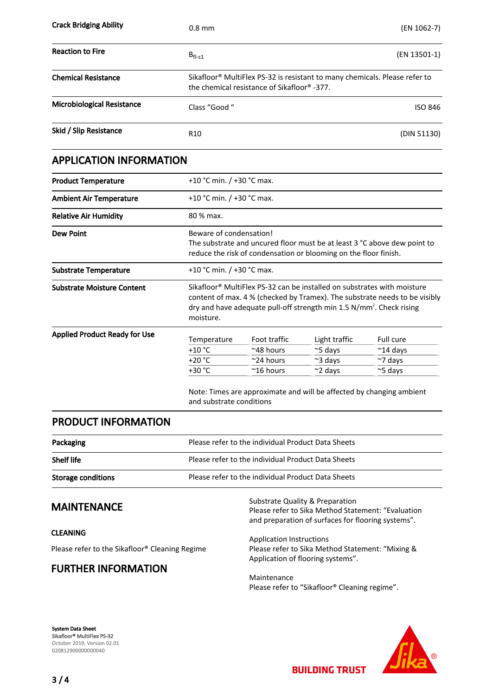| <b>Crack Bridging Ability</b>     | $0.8$ mm                                                                                                                              | (EN 1062-7)    |
|-----------------------------------|---------------------------------------------------------------------------------------------------------------------------------------|----------------|
| <b>Reaction to Fire</b>           | $B_{fl-51}$                                                                                                                           | (EN 13501-1)   |
| <b>Chemical Resistance</b>        | Sikafloor <sup>®</sup> MultiFlex PS-32 is resistant to many chemicals. Please refer to<br>the chemical resistance of Sikafloor® -377. |                |
| <b>Microbiological Resistance</b> | Class "Good "                                                                                                                         | <b>ISO 846</b> |
| Skid / Slip Resistance            | R <sub>10</sub>                                                                                                                       | (DIN 51130)    |

#### APPLICATION INFORMATION

| <b>Product Temperature</b>           |                                                                                                                                                                                                                                                        | +10 °C min. $/$ +30 °C max.                                                                                                                                             |                  |                    |
|--------------------------------------|--------------------------------------------------------------------------------------------------------------------------------------------------------------------------------------------------------------------------------------------------------|-------------------------------------------------------------------------------------------------------------------------------------------------------------------------|------------------|--------------------|
| <b>Ambient Air Temperature</b>       |                                                                                                                                                                                                                                                        | +10 °C min. $/$ +30 °C max.                                                                                                                                             |                  |                    |
| <b>Relative Air Humidity</b>         | 80 % max.                                                                                                                                                                                                                                              |                                                                                                                                                                         |                  |                    |
| <b>Dew Point</b>                     |                                                                                                                                                                                                                                                        | Beware of condensation!<br>The substrate and uncured floor must be at least 3 °C above dew point to<br>reduce the risk of condensation or blooming on the floor finish. |                  |                    |
| <b>Substrate Temperature</b>         |                                                                                                                                                                                                                                                        | +10 °C min. $/$ +30 °C max.                                                                                                                                             |                  |                    |
| <b>Substrate Moisture Content</b>    | Sikafloor® MultiFlex PS-32 can be installed on substrates with moisture<br>content of max. 4 % (checked by Tramex). The substrate needs to be visibly<br>dry and have adequate pull-off strength min 1.5 N/mm <sup>2</sup> . Check rising<br>moisture. |                                                                                                                                                                         |                  |                    |
| <b>Applied Product Ready for Use</b> | Temperature                                                                                                                                                                                                                                            | Foot traffic                                                                                                                                                            | Light traffic    | Full cure          |
|                                      | $+10 °C$                                                                                                                                                                                                                                               | $^{\sim}$ 48 hours                                                                                                                                                      | $\approx$ 5 days | $~^{\sim}$ 14 days |
|                                      | $+20 °C$                                                                                                                                                                                                                                               | $\sim$ 24 hours                                                                                                                                                         | $\approx$ 3 days | $~\sim$ 7 days     |
|                                      | $+30 °C$                                                                                                                                                                                                                                               | $^{\sim}$ 16 hours                                                                                                                                                      | $\approx$ 2 days | $\approx$ 5 days   |

Note: Times are approximate and will be affected by changing ambient and substrate conditions

#### PRODUCT INFORMATION

| Packaging                 | Please refer to the individual Product Data Sheets |
|---------------------------|----------------------------------------------------|
| <b>Shelf life</b>         | Please refer to the individual Product Data Sheets |
| <b>Storage conditions</b> | Please refer to the individual Product Data Sheets |

#### MAINTENANCE

#### CLEANING

Please refer to the Sikafloor® Cleaning Regime

#### FURTHER INFORMATION

Substrate Quality & Preparation Please refer to Sika Method Statement: "Evaluation and preparation of surfaces for flooring systems".

Application Instructions Please refer to Sika Method Statement: "Mixing & Application of flooring systems".

Maintenance Please refer to "Sikafloor® Cleaning regime".

#### System Data Sheet Sikafloor® MultiFlex PS-32 October 2019, Version 02.01 020812900000000040



**BUILDING TRUST**